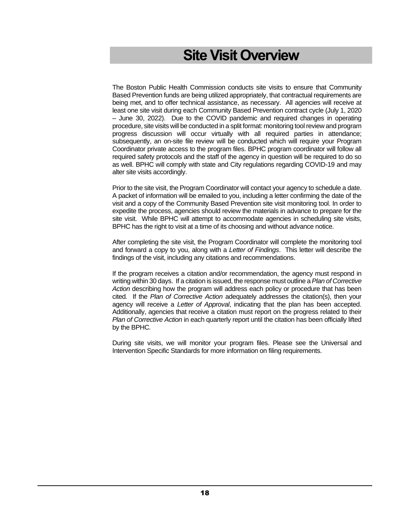# **Site Visit Overview**

The Boston Public Health Commission conducts site visits to ensure that Community Based Prevention funds are being utilized appropriately, that contractual requirements are being met, and to offer technical assistance, as necessary. All agencies will receive at least one site visit during each Community Based Prevention contract cycle (July 1, 2020 – June 30, 2022). Due to the COVID pandemic and required changes in operating procedure, site visits will be conducted in a split format: monitoring tool review and program progress discussion will occur virtually with all required parties in attendance; subsequently, an on-site file review will be conducted which will require your Program Coordinator private access to the program files. BPHC program coordinator will follow all required safety protocols and the staff of the agency in question will be required to do so as well. BPHC will comply with state and City regulations regarding COVID-19 and may alter site visits accordingly.

Prior to the site visit, the Program Coordinator will contact your agency to schedule a date. A packet of information will be emailed to you, including a letter confirming the date of the visit and a copy of the Community Based Prevention site visit monitoring tool. In order to expedite the process, agencies should review the materials in advance to prepare for the site visit. While BPHC will attempt to accommodate agencies in scheduling site visits, BPHC has the right to visit at a time of its choosing and without advance notice.

After completing the site visit, the Program Coordinator will complete the monitoring tool and forward a copy to you, along with a *Letter of Findings*. This letter will describe the findings of the visit, including any citations and recommendations.

If the program receives a citation and/or recommendation, the agency must respond in writing within 30 days. If a citation is issued, the response must outline a *Plan of Corrective Action* describing how the program will address each policy or procedure that has been cited*.* If the *Plan of Corrective Action* adequately addresses the citation(s), then your agency will receive a *Letter of Approval*, indicating that the plan has been accepted. Additionally, agencies that receive a citation must report on the progress related to their *Plan of Corrective Action* in each quarterly report until the citation has been officially lifted by the BPHC*.*

During site visits, we will monitor your program files. Please see the Universal and Intervention Specific Standards for more information on filing requirements.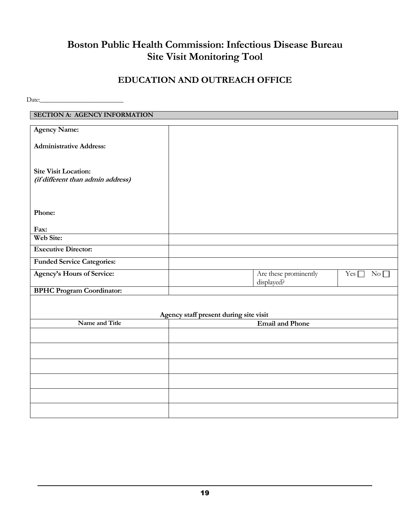# **Boston Public Health Commission: Infectious Disease Bureau Site Visit Monitoring Tool**

# **EDUCATION AND OUTREACH OFFICE**

 $Date:$ 

| <b>SECTION A: AGENCY INFORMATION</b>                             |                                        |                               |
|------------------------------------------------------------------|----------------------------------------|-------------------------------|
|                                                                  |                                        |                               |
| <b>Agency Name:</b>                                              |                                        |                               |
| <b>Administrative Address:</b>                                   |                                        |                               |
| <b>Site Visit Location:</b><br>(if different than admin address) |                                        |                               |
| Phone:                                                           |                                        |                               |
| Fax:                                                             |                                        |                               |
| Web Site:                                                        |                                        |                               |
| <b>Executive Director:</b>                                       |                                        |                               |
| <b>Funded Service Categories:</b>                                |                                        |                               |
| Agency's Hours of Service:                                       | Are these prominently<br>displayed?    | Yes $\Box$<br>$\rm No$ $\Box$ |
| <b>BPHC Program Coordinator:</b>                                 |                                        |                               |
|                                                                  | Agency staff present during site visit |                               |
| Name and Title                                                   | <b>Email and Phone</b>                 |                               |
|                                                                  |                                        |                               |
|                                                                  |                                        |                               |
|                                                                  |                                        |                               |
|                                                                  |                                        |                               |
|                                                                  |                                        |                               |
|                                                                  |                                        |                               |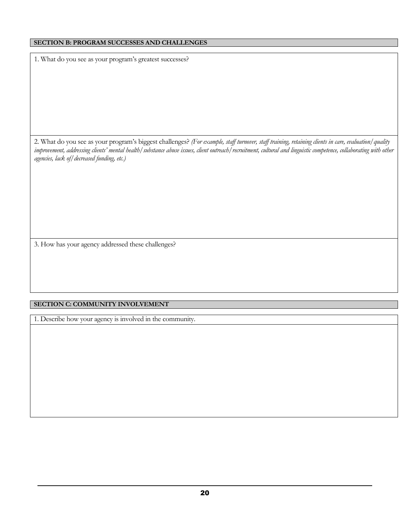#### **SECTION B: PROGRAM SUCCESSES AND CHALLENGES**

1. What do you see as your program's greatest successes?

2. What do you see as your program's biggest challenges? *(For example, staff turnover, staff training, retaining clients in care, evaluation/quality improvement, addressing clients' mental health/substance abuse issues, client outreach/recruitment, cultural and linguistic competence, collaborating with other agencies, lack of/decreased funding, etc.)*

3. How has your agency addressed these challenges?

#### **SECTION C: COMMUNITY INVOLVEMENT**

1. Describe how your agency is involved in the community.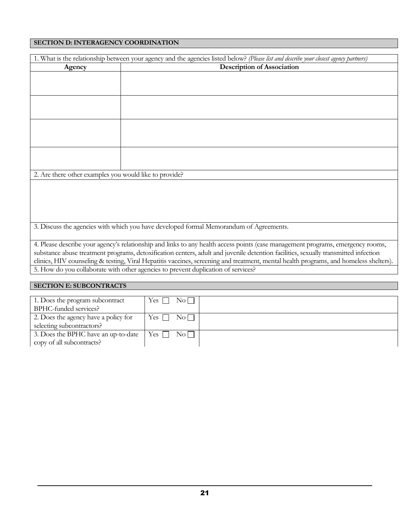#### **SECTION D: INTERAGENCY COORDINATION**

|                                                        | 1. What is the relationship between your agency and the agencies listed below? (Please list and describe your closest agency partners) |
|--------------------------------------------------------|----------------------------------------------------------------------------------------------------------------------------------------|
| Agency                                                 | <b>Description of Association</b>                                                                                                      |
|                                                        |                                                                                                                                        |
|                                                        |                                                                                                                                        |
|                                                        |                                                                                                                                        |
|                                                        |                                                                                                                                        |
|                                                        |                                                                                                                                        |
|                                                        |                                                                                                                                        |
|                                                        |                                                                                                                                        |
|                                                        |                                                                                                                                        |
|                                                        |                                                                                                                                        |
|                                                        |                                                                                                                                        |
|                                                        |                                                                                                                                        |
| 2. Are there other examples you would like to provide? |                                                                                                                                        |
|                                                        |                                                                                                                                        |
|                                                        |                                                                                                                                        |
|                                                        |                                                                                                                                        |
|                                                        |                                                                                                                                        |
|                                                        |                                                                                                                                        |
|                                                        | 3. Discuss the agencies with which you have developed formal Memorandum of Agreements.                                                 |
|                                                        |                                                                                                                                        |
|                                                        | 4. Please describe your agency's relationship and links to any health access points (case management programs, emergency rooms,        |
|                                                        | substance abuse treatment programs, detoxification centers, adult and juvenile detention facilities, sexually transmitted infection    |
|                                                        | clinics, HIV counseling & testing, Viral Hepatitis vaccines, screening and treatment, mental health programs, and homeless shelters).  |
|                                                        | 5. How do you collaborate with other agencies to prevent duplication of services?                                                      |
|                                                        |                                                                                                                                        |

#### **SECTION E: SUBCONTRACTS**

| 1. Does the program subcontract      | $\rm No$<br>Yes $\Box$        |  |
|--------------------------------------|-------------------------------|--|
| BPHC-funded services?                |                               |  |
| 2. Does the agency have a policy for | $Yes \Box$<br>$\rm No$        |  |
| selecting subcontractors?            |                               |  |
| 3. Does the BPHC have an up-to-date  | $\rm No$ $\Box$<br>$Yes \Box$ |  |
| copy of all subcontracts?            |                               |  |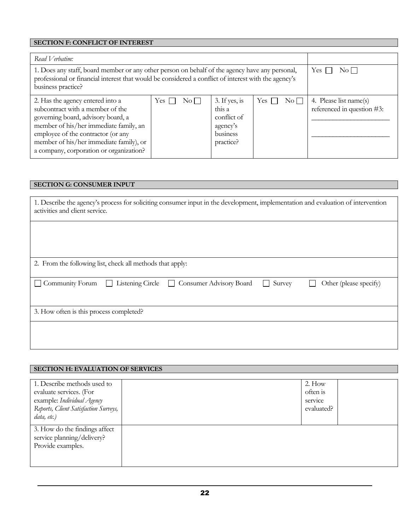# **SECTION F: CONFLICT OF INTEREST**

| Read Verbatim:                                                                                                                                                                                                                                                                   |                        |                                                                             |              |          |                                                      |
|----------------------------------------------------------------------------------------------------------------------------------------------------------------------------------------------------------------------------------------------------------------------------------|------------------------|-----------------------------------------------------------------------------|--------------|----------|------------------------------------------------------|
| 1. Does any staff, board member or any other person on behalf of the agency have any personal,<br>professional or financial interest that would be considered a conflict of interest with the agency's<br>business practice?                                                     | Yes:<br>$\rm No\,\Box$ |                                                                             |              |          |                                                      |
| 2. Has the agency entered into a<br>subcontract with a member of the<br>governing board, advisory board, a<br>member of his/her immediate family, an<br>employee of the contractor (or any<br>member of his/her immediate family), or<br>a company, corporation or organization? | Yes<br>No L            | 3. If yes, is<br>this a<br>conflict of<br>agency's<br>business<br>practice? | $Yes \Gamma$ | $\rm No$ | 4. Please list name(s)<br>referenced in question #3: |

#### **SECTION G: CONSUMER INPUT**

| 1. Describe the agency's process for soliciting consumer input in the development, implementation and evaluation of intervention<br>activities and client service. |  |  |  |  |  |  |  |  |
|--------------------------------------------------------------------------------------------------------------------------------------------------------------------|--|--|--|--|--|--|--|--|
|                                                                                                                                                                    |  |  |  |  |  |  |  |  |
|                                                                                                                                                                    |  |  |  |  |  |  |  |  |
| 2. From the following list, check all methods that apply:                                                                                                          |  |  |  |  |  |  |  |  |
| $\Box$ Community Forum<br>Listening Circle □ Consumer Advisory Board<br>Survey<br>Other (please specify)<br>$\Box$<br>$\sim 10$                                    |  |  |  |  |  |  |  |  |
| 3. How often is this process completed?                                                                                                                            |  |  |  |  |  |  |  |  |
|                                                                                                                                                                    |  |  |  |  |  |  |  |  |

#### **SECTION H: EVALUATION OF SERVICES**

| 1. Describe methods used to           | $2.$ How   |  |
|---------------------------------------|------------|--|
| evaluate services. (For               | often is   |  |
| example: Individual Agency            | service    |  |
| Reports, Client Satisfaction Surveys, | evaluated? |  |
| data, etc.)                           |            |  |
| 3. How do the findings affect         |            |  |
| service planning/delivery?            |            |  |
| Provide examples.                     |            |  |
|                                       |            |  |
|                                       |            |  |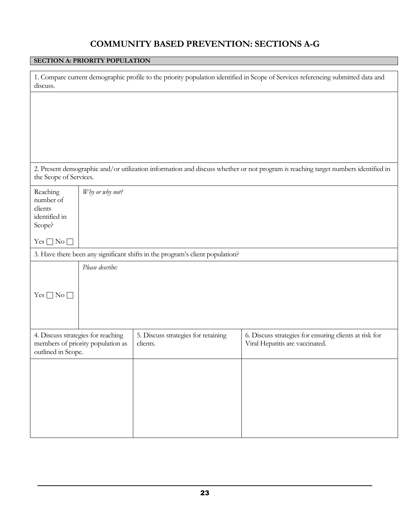# **COMMUNITY BASED PREVENTION: SECTIONS A-G**

#### **SECTION A: PRIORITY POPULATION**

| discuss.                                                    |                                                                         |                                                                               | 1. Compare current demographic profile to the priority population identified in Scope of Services referencing submitted data and  |
|-------------------------------------------------------------|-------------------------------------------------------------------------|-------------------------------------------------------------------------------|-----------------------------------------------------------------------------------------------------------------------------------|
|                                                             |                                                                         |                                                                               |                                                                                                                                   |
|                                                             |                                                                         |                                                                               |                                                                                                                                   |
|                                                             |                                                                         |                                                                               |                                                                                                                                   |
|                                                             |                                                                         |                                                                               |                                                                                                                                   |
| the Scope of Services.                                      |                                                                         |                                                                               | 2. Present demographic and/or utilization information and discuss whether or not program is reaching target numbers identified in |
| Reaching<br>number of<br>clients<br>identified in<br>Scope? | Why or why not?                                                         |                                                                               |                                                                                                                                   |
| $Yes \Box No \Box$                                          |                                                                         |                                                                               |                                                                                                                                   |
|                                                             |                                                                         | 3. Have there been any significant shifts in the program's client population? |                                                                                                                                   |
|                                                             | Please describe:                                                        |                                                                               |                                                                                                                                   |
| $Yes \Box No \Box$                                          |                                                                         |                                                                               |                                                                                                                                   |
| outlined in Scope.                                          | 4. Discuss strategies for reaching<br>members of priority population as | 5. Discuss strategies for retaining<br>clients.                               | 6. Discuss strategies for ensuring clients at risk for<br>Viral Hepatitis are vaccinated.                                         |
|                                                             |                                                                         |                                                                               |                                                                                                                                   |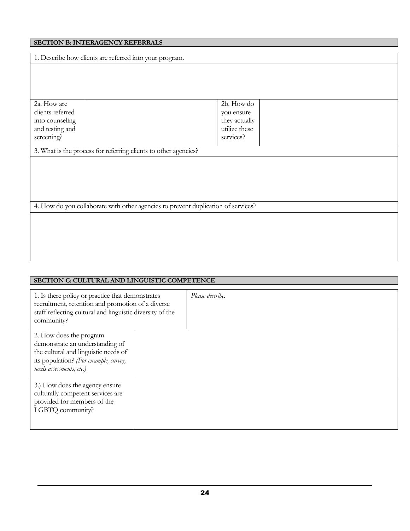## **SECTION B: INTERAGENCY REFERRALS**

|                  | 1. Describe how clients are referred into your program.                           |               |  |  |  |  |  |  |
|------------------|-----------------------------------------------------------------------------------|---------------|--|--|--|--|--|--|
|                  |                                                                                   |               |  |  |  |  |  |  |
|                  |                                                                                   |               |  |  |  |  |  |  |
|                  |                                                                                   |               |  |  |  |  |  |  |
|                  |                                                                                   |               |  |  |  |  |  |  |
| 2a. How are      |                                                                                   | 2b. How do    |  |  |  |  |  |  |
| clients referred |                                                                                   | you ensure    |  |  |  |  |  |  |
| into counseling  |                                                                                   | they actually |  |  |  |  |  |  |
| and testing and  |                                                                                   | utilize these |  |  |  |  |  |  |
| screening?       |                                                                                   | services?     |  |  |  |  |  |  |
|                  | 3. What is the process for referring clients to other agencies?                   |               |  |  |  |  |  |  |
|                  |                                                                                   |               |  |  |  |  |  |  |
|                  |                                                                                   |               |  |  |  |  |  |  |
|                  |                                                                                   |               |  |  |  |  |  |  |
|                  |                                                                                   |               |  |  |  |  |  |  |
|                  |                                                                                   |               |  |  |  |  |  |  |
|                  | 4. How do you collaborate with other agencies to prevent duplication of services? |               |  |  |  |  |  |  |
|                  |                                                                                   |               |  |  |  |  |  |  |
|                  |                                                                                   |               |  |  |  |  |  |  |
|                  |                                                                                   |               |  |  |  |  |  |  |
|                  |                                                                                   |               |  |  |  |  |  |  |
|                  |                                                                                   |               |  |  |  |  |  |  |
|                  |                                                                                   |               |  |  |  |  |  |  |

| SECTION C: CULTURAL AND LINGUISTIC COMPETENCE                                                                                                                                    |                  |  |  |  |  |  |  |
|----------------------------------------------------------------------------------------------------------------------------------------------------------------------------------|------------------|--|--|--|--|--|--|
| 1. Is there policy or practice that demonstrates<br>recruitment, retention and promotion of a diverse<br>staff reflecting cultural and linguistic diversity of the<br>community? | Please describe. |  |  |  |  |  |  |
| 2. How does the program<br>demonstrate an understanding of<br>the cultural and linguistic needs of<br>its population? (For example, survey,<br>needs assessments, etc.)          |                  |  |  |  |  |  |  |
| 3.) How does the agency ensure<br>culturally competent services are<br>provided for members of the<br>LGBTQ community?                                                           |                  |  |  |  |  |  |  |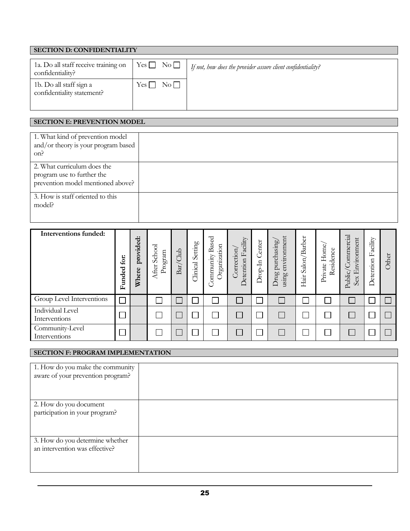| <b>SECTION D: CONFIDENTIALITY</b>                        |                    |  |                                                              |  |  |  |  |
|----------------------------------------------------------|--------------------|--|--------------------------------------------------------------|--|--|--|--|
| 1a. Do all staff receive training on<br>confidentiality? | $Yes \Box No \Box$ |  | If not, how does the provider assure client confidentiality? |  |  |  |  |
| 1b. Do all staff sign a<br>confidentiality statement?    | $\rm No$<br>Yes [  |  |                                                              |  |  |  |  |

#### **SECTION E: PREVENTION MODEL**

| 1. What kind of prevention model<br>and/or theory is your program based<br>on?                 |  |
|------------------------------------------------------------------------------------------------|--|
| 2. What curriculum does the<br>program use to further the<br>prevention model mentioned above? |  |
| 3. How is staff oriented to this<br>model?                                                     |  |

| Interventions funded:             | for:<br>ರ<br>Funde | ゼ<br>provide<br>Where | School<br>Program<br>After | Bar/Club | Setting<br>Clinical | Based<br><b>Jrganization</b><br>ommunity | Facility<br>orrection<br>Detention | Center<br>$\Xi$<br>Drop | nvironment<br>purchasing<br>Jrug<br>ausing<br>– | Barber<br>Salon,<br>Hair | Home,<br>Residence<br>Private | Public/Commercial<br>Environment<br>Sex | Facility<br>Detention | Other |
|-----------------------------------|--------------------|-----------------------|----------------------------|----------|---------------------|------------------------------------------|------------------------------------|-------------------------|-------------------------------------------------|--------------------------|-------------------------------|-----------------------------------------|-----------------------|-------|
| Group Level Interventions         |                    |                       |                            |          |                     |                                          |                                    |                         |                                                 |                          |                               |                                         |                       |       |
| Individual Level<br>Interventions |                    |                       |                            |          |                     |                                          |                                    |                         |                                                 |                          |                               | b.                                      |                       |       |
| Community-Level<br>Interventions  |                    |                       |                            |          |                     |                                          |                                    |                         |                                                 |                          |                               |                                         |                       |       |

#### **SECTION F: PROGRAM IMPLEMENTATION**

| 1. How do you make the community  |  |
|-----------------------------------|--|
|                                   |  |
| aware of your prevention program? |  |
|                                   |  |
|                                   |  |
|                                   |  |
|                                   |  |
| 2. How do you document            |  |
|                                   |  |
| participation in your program?    |  |
|                                   |  |
|                                   |  |
|                                   |  |
|                                   |  |
|                                   |  |
| 3. How do you determine whether   |  |
| an intervention was effective?    |  |
|                                   |  |
|                                   |  |
|                                   |  |
|                                   |  |
|                                   |  |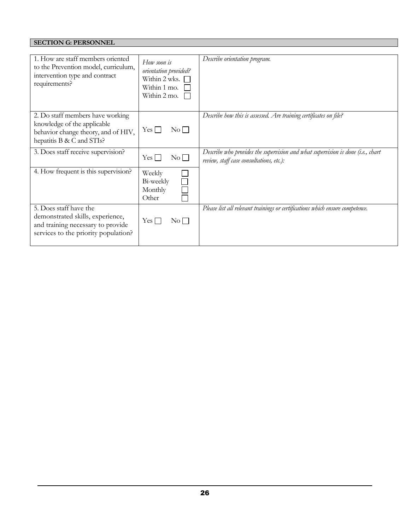# **SECTION G: PERSONNEL**

| 1. How are staff members oriented<br>to the Prevention model, curriculum,<br>intervention type and contract<br>requirements?            | How soon is<br>orientation provided?<br>Within 2 wks.<br>Within 1 mo.<br>Within 2 mo. | Describe orientation program.                                                                                               |
|-----------------------------------------------------------------------------------------------------------------------------------------|---------------------------------------------------------------------------------------|-----------------------------------------------------------------------------------------------------------------------------|
| 2. Do staff members have working<br>knowledge of the applicable<br>behavior change theory, and of HIV,<br>hepatitis B & C and STIs?     | Yes    <br>$\rm{No}$                                                                  | Describe how this is assessed. Are training certificates on file?                                                           |
| 3. Does staff receive supervision?                                                                                                      | $Yes \Box$<br>$\rm No$                                                                | Describe who provides the supervision and what supervision is done (i.e., chart<br>review, staff case consultations, etc.): |
| 4. How frequent is this supervision?                                                                                                    | Weekly<br>Bi-weekly<br>Monthly<br>Other                                               |                                                                                                                             |
| 5. Does staff have the<br>demonstrated skills, experience,<br>and training necessary to provide<br>services to the priority population? | $Yes \Box$<br>$\rm No$ $\Box$                                                         | Please list all relevant trainings or certifications which ensure competence.                                               |